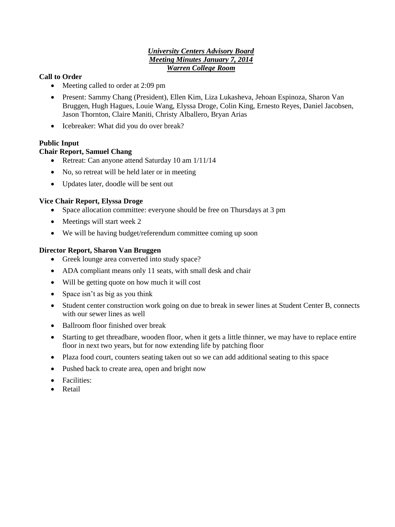## *University Centers Advisory Board Meeting Minutes January 7, 2014 Warren College Room*

## **Call to Order**

- Meeting called to order at 2:09 pm
- Present: Sammy Chang (President), Ellen Kim, Liza Lukasheva, Jehoan Espinoza, Sharon Van Bruggen, Hugh Hagues, Louie Wang, Elyssa Droge, Colin King, Ernesto Reyes, Daniel Jacobsen, Jason Thornton, Claire Maniti, Christy Alballero, Bryan Arias
- Icebreaker: What did you do over break?

# **Public Input**

### **Chair Report, Samuel Chang**

- Retreat: Can anyone attend Saturday 10 am  $1/11/14$
- No, so retreat will be held later or in meeting
- Updates later, doodle will be sent out

### **Vice Chair Report, Elyssa Droge**

- Space allocation committee: everyone should be free on Thursdays at 3 pm
- Meetings will start week 2
- We will be having budget/referendum committee coming up soon

### **Director Report, Sharon Van Bruggen**

- Greek lounge area converted into study space?
- ADA compliant means only 11 seats, with small desk and chair
- Will be getting quote on how much it will cost
- Space isn't as big as you think
- Student center construction work going on due to break in sewer lines at Student Center B, connects with our sewer lines as well
- Ballroom floor finished over break
- Starting to get threadbare, wooden floor, when it gets a little thinner, we may have to replace entire floor in next two years, but for now extending life by patching floor
- Plaza food court, counters seating taken out so we can add additional seating to this space
- Pushed back to create area, open and bright now
- Facilities:
- Retail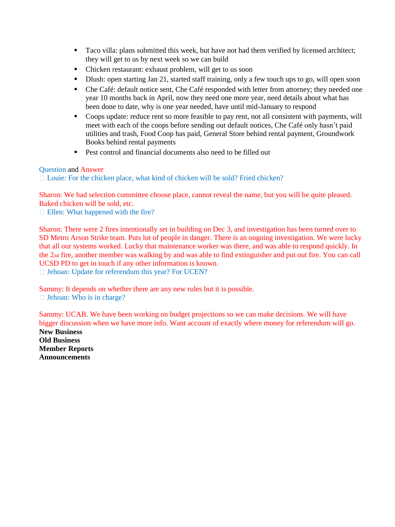- Taco villa: plans submitted this week, but have not had them verified by licensed architect; they will get to us by next week so we can build
- Chicken restaurant: exhaust problem, will get to us soon
- Dlush: open starting Jan 21, started staff training, only a few touch ups to go, will open soon
- Che Café: default notice sent, Che Café responded with letter from attorney; they needed one year 10 months back in April, now they need one more year, need details about what has been done to date, why is one year needed, have until mid-January to respond
- Coops update: reduce rent so more feasible to pay rent, not all consistent with payments, will meet with each of the coops before sending out default notices, Che Café only hasn't paid utilities and trash, Food Coop has paid, General Store behind rental payment, Groundwork Books behind rental payments
- Pest control and financial documents also need to be filled out

#### Question and Answer

□ Louie: For the chicken place, what kind of chicken will be sold? Fried chicken?

Sharon: We had selection committee choose place, cannot reveal the name, but you will be quite pleased. Baked chicken will be sold, etc.

**Ellen:** What happened with the fire?

Sharon: There were 2 fires intentionally set in building on Dec 3, and investigation has been turned over to SD Metro Arson Strike team. Puts lot of people in danger. There is an ongoing investigation. We were lucky that all our systems worked. Lucky that maintenance worker was there, and was able to respond quickly. In the 2nd fire, another member was walking by and was able to find extinguisher and put out fire. You can call UCSD PD to get in touch if any other information is known. □ Jehoan: Update for referendum this year? For UCEN?

Sammy: It depends on whether there are any new rules but it is possible. □ Jehoan: Who is in charge?

Sammy: UCAB. We have been working on budget projections so we can make decisions. We will have bigger discussion when we have more info. Want account of exactly where money for referendum will go. **New Business Old Business Member Reports Announcements**